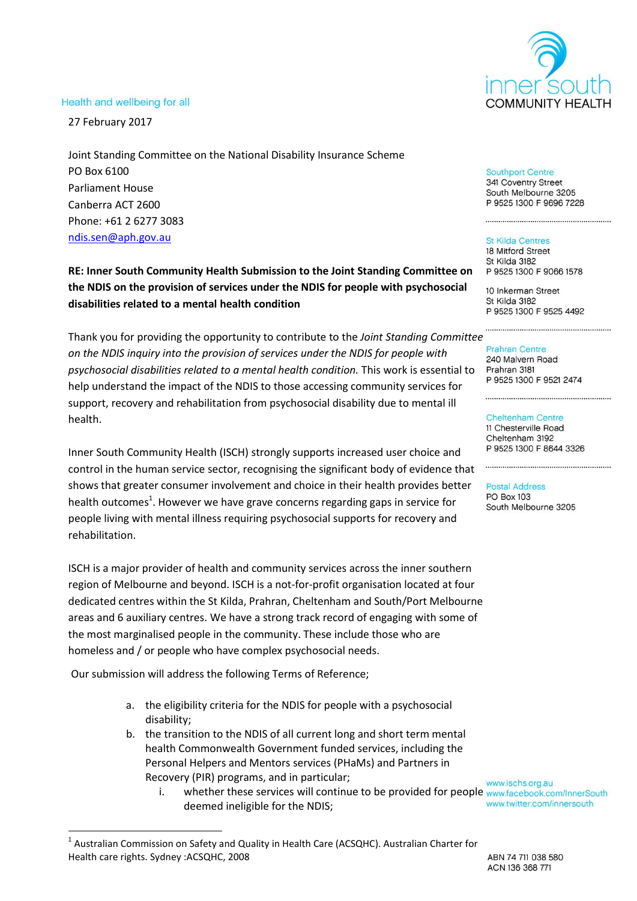# **COMMUNITY HEALTH**

#### Health and wellbeing for all

27 February 2017

Joint Standing Committee on the National Disability Insurance Scheme PO Box 6100 Parliament House Canberra ACT 2600 Phone: +61 2 6277 3083 [ndis.sen@aph.gov.au](mailto:ndis.sen@aph.gov.au)

**RE: Inner South Community Health Submission to the Joint Standing Committee on the NDIS on the provision of services under the NDIS for people with psychosocial disabilities related to a mental health condition**

Thank you for providing the opportunity to contribute to the *Joint Standing Committee on the NDIS inquiry into the provision of services under the NDIS for people with psychosocial disabilities related to a mental health condition.* This work is essential to help understand the impact of the NDIS to those accessing community services for support, recovery and rehabilitation from psychosocial disability due to mental ill health.

Inner South Community Health (ISCH) strongly supports increased user choice and control in the human service sector, recognising the significant body of evidence that shows that greater consumer involvement and choice in their health provides better health outcomes<sup>1</sup>. However we have grave concerns regarding gaps in service for people living with mental illness requiring psychosocial supports for recovery and rehabilitation.

ISCH is a major provider of health and community services across the inner southern region of Melbourne and beyond. ISCH is a not-for-profit organisation located at four dedicated centres within the St Kilda, Prahran, Cheltenham and South/Port Melbourne areas and 6 auxiliary centres. We have a strong track record of engaging with some of the most marginalised people in the community. These include those who are homeless and / or people who have complex psychosocial needs.

Our submission will address the following Terms of Reference;

 $\overline{\phantom{a}}$ 

- a. the eligibility criteria for the NDIS for people with a psychosocial disability;
- b. the transition to the NDIS of all current long and short term mental health Commonwealth Government funded services, including the Personal Helpers and Mentors services (PHaMs) and Partners in Recovery (PIR) programs, and in particular;
	- i. www.ischs.org.au<br>i. whether these services will continue to be provided for people www.facebook.com/InnerSouth deemed ineligible for the NDIS;

 $^1$  Australian Commission on Safety and Quality in Health Care (ACSQHC). Australian Charter for Health care rights. Sydney :ACSQHC, 2008

#### **Southport Centre**

341 Coventry Street South Melbourne 3205 P 9525 1300 F 9696 7228

#### **St Kilda Centres**

18 Mitford Street St Kilda 3182 P 9525 1300 F 9066 1578

10 Inkerman Street St Kilda 3182 P 9525 1300 F 9525 4492

240 Malvern Road Prahran 3181 P 9525 1300 F 9521 2474

#### **Cheltenham Centre** 11 Chesterville Road

Cheltenham 3192 P 9525 1300 F 8644 3326

#### **Postal Address**

**PO Box 103** South Melbourne 3205

www.twitter.com/innersouth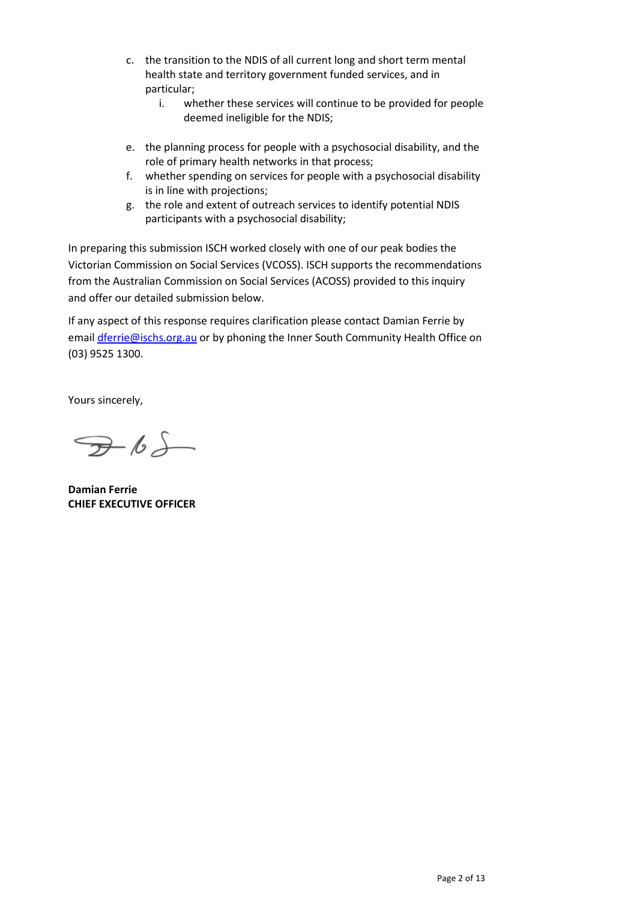- c. the transition to the NDIS of all current long and short term mental health state and territory government funded services, and in particular;
	- i. whether these services will continue to be provided for people deemed ineligible for the NDIS;
- e. the planning process for people with a psychosocial disability, and the role of primary health networks in that process;
- f. whether spending on services for people with a psychosocial disability is in line with projections;
- g. the role and extent of outreach services to identify potential NDIS participants with a psychosocial disability;

In preparing this submission ISCH worked closely with one of our peak bodies the Victorian Commission on Social Services (VCOSS). ISCH supports the recommendations from the Australian Commission on Social Services (ACOSS) provided to this inquiry and offer our detailed submission below.

If any aspect of this response requires clarification please contact Damian Ferrie by email [dferrie@ischs.org.au](mailto:dferrie@ischs.org.au) or by phoning the Inner South Community Health Office on (03) 9525 1300.

Yours sincerely,

 $765$ 

**Damian Ferrie CHIEF EXECUTIVE OFFICER**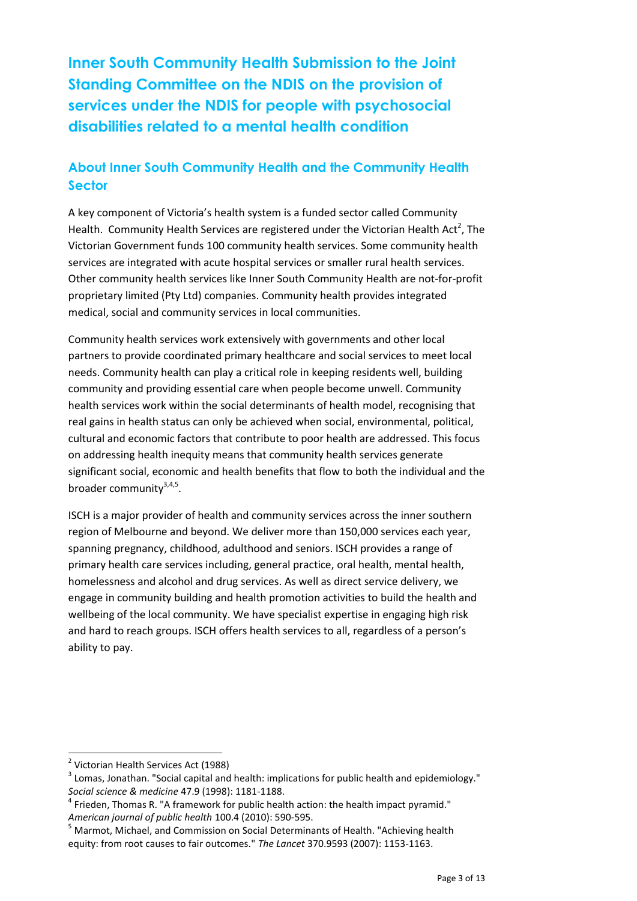**Inner South Community Health Submission to the Joint Standing Committee on the NDIS on the provision of services under the NDIS for people with psychosocial disabilities related to a mental health condition**

# **About Inner South Community Health and the Community Health Sector**

A key component of Victoria's health system is a funded sector called Community Health. Community Health Services are registered under the Victorian Health Act<sup>2</sup>, The Victorian Government funds 100 community health services. Some community health services are integrated with acute hospital services or smaller rural health services. Other community health services like Inner South Community Health are not-for-profit proprietary limited (Pty Ltd) companies. Community health provides integrated medical, social and community services in local communities.

Community health services work extensively with governments and other local partners to provide coordinated primary healthcare and social services to meet local needs. Community health can play a critical role in keeping residents well, building community and providing essential care when people become unwell. Community health services work within the social determinants of health model, recognising that real gains in health status can only be achieved when social, environmental, political, cultural and economic factors that contribute to poor health are addressed. This focus on addressing health inequity means that community health services generate significant social, economic and health benefits that flow to both the individual and the broader community<sup>3,4,5</sup>.

ISCH is a major provider of health and community services across the inner southern region of Melbourne and beyond. We deliver more than 150,000 services each year, spanning pregnancy, childhood, adulthood and seniors. ISCH provides a range of primary health care services including, general practice, oral health, mental health, homelessness and alcohol and drug services. As well as direct service delivery, we engage in community building and health promotion activities to build the health and wellbeing of the local community. We have specialist expertise in engaging high risk and hard to reach groups. ISCH offers health services to all, regardless of a person's ability to pay.

l

<sup>&</sup>lt;sup>2</sup> Victorian Health Services Act (1988)

 $^3$  Lomas, Jonathan. "Social capital and health: implications for public health and epidemiology." *Social science & medicine* 47.9 (1998): 1181-1188.

 $<sup>4</sup>$  Frieden, Thomas R. "A framework for public health action: the health impact pyramid."</sup> *American journal of public health* 100.4 (2010): 590-595.

<sup>&</sup>lt;sup>5</sup> Marmot, Michael, and Commission on Social Determinants of Health. "Achieving health equity: from root causes to fair outcomes." *The Lancet* 370.9593 (2007): 1153-1163.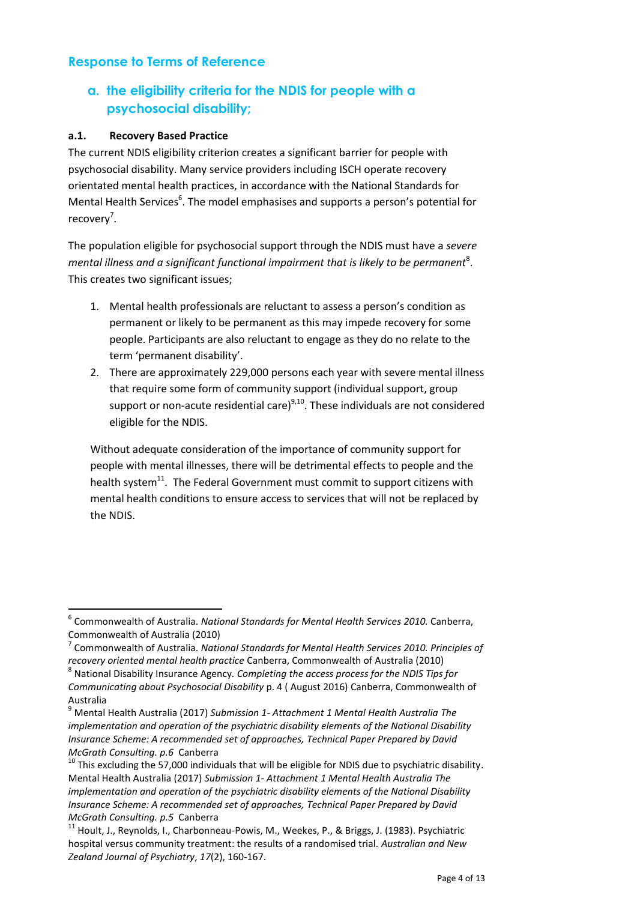#### **Response to Terms of Reference**

# **a. the eligibility criteria for the NDIS for people with a psychosocial disability;**

#### **a.1. Recovery Based Practice**

The current NDIS eligibility criterion creates a significant barrier for people with psychosocial disability. Many service providers including ISCH operate recovery orientated mental health practices, in accordance with the National Standards for Mental Health Services<sup>6</sup>. The model emphasises and supports a person's potential for recovery<sup>7</sup>.

The population eligible for psychosocial support through the NDIS must have a *severe*  mental illness and a significant functional impairment that is likely to be permanent<sup>8</sup>. This creates two significant issues;

- 1. Mental health professionals are reluctant to assess a person's condition as permanent or likely to be permanent as this may impede recovery for some people. Participants are also reluctant to engage as they do no relate to the term 'permanent disability'.
- 2. There are approximately 229,000 persons each year with severe mental illness that require some form of community support (individual support, group support or non-acute residential care)<sup>9,10</sup>. These individuals are not considered eligible for the NDIS.

Without adequate consideration of the importance of community support for people with mental illnesses, there will be detrimental effects to people and the health system<sup>11</sup>. The Federal Government must commit to support citizens with mental health conditions to ensure access to services that will not be replaced by the NDIS.

 6 Commonwealth of Australia. *National Standards for Mental Health Services 2010.* Canberra, Commonwealth of Australia (2010)

<sup>7</sup> Commonwealth of Australia. *National Standards for Mental Health Services 2010. Principles of recovery oriented mental health practice* Canberra, Commonwealth of Australia (2010)

<sup>8</sup> National Disability Insurance Agency*. Completing the access process for the NDIS Tips for Communicating about Psychosocial Disability* p. 4 ( August 2016) Canberra, Commonwealth of Australia

<sup>9</sup> Mental Health Australia (2017) *Submission 1- Attachment 1 Mental Health Australia The implementation and operation of the psychiatric disability elements of the National Disability Insurance Scheme: A recommended set of approaches, Technical Paper Prepared by David McGrath Consulting. p.6* Canberra

 $10$  This excluding the 57,000 individuals that will be eligible for NDIS due to psychiatric disability. Mental Health Australia (2017) *Submission 1- Attachment 1 Mental Health Australia The implementation and operation of the psychiatric disability elements of the National Disability Insurance Scheme: A recommended set of approaches, Technical Paper Prepared by David McGrath Consulting. p.5* Canberra

<sup>&</sup>lt;sup>11</sup> Hoult, J., Reynolds, I., Charbonneau-Powis, M., Weekes, P., & Briggs, J. (1983). Psychiatric hospital versus community treatment: the results of a randomised trial. *Australian and New Zealand Journal of Psychiatry*, *17*(2), 160-167.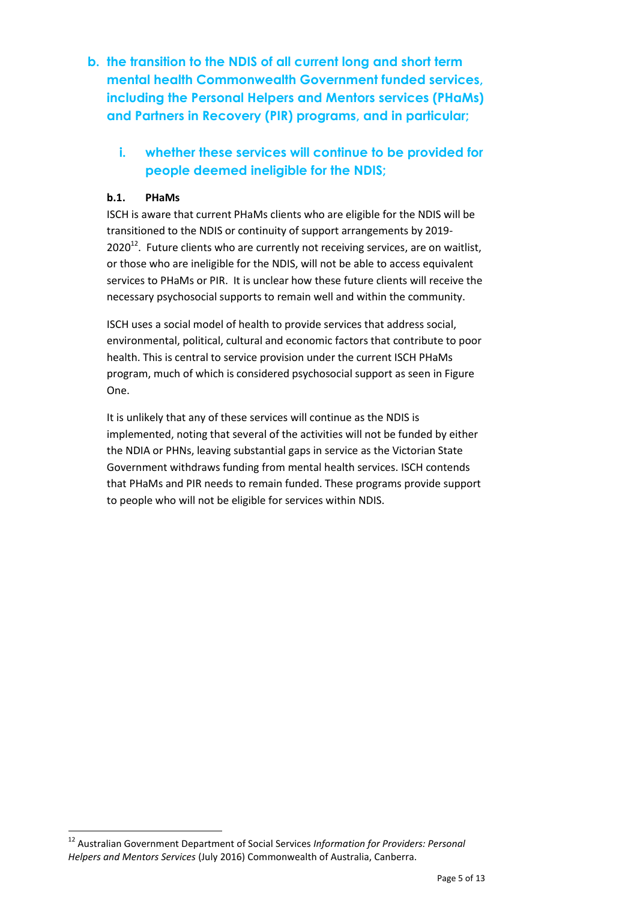**b. the transition to the NDIS of all current long and short term mental health Commonwealth Government funded services, including the Personal Helpers and Mentors services (PHaMs) and Partners in Recovery (PIR) programs, and in particular;** 

# **i. whether these services will continue to be provided for people deemed ineligible for the NDIS;**

#### **b.1. PHaMs**

 $\overline{\phantom{a}}$ 

ISCH is aware that current PHaMs clients who are eligible for the NDIS will be transitioned to the NDIS or continuity of support arrangements by 2019-  $2020^{12}$ . Future clients who are currently not receiving services, are on waitlist, or those who are ineligible for the NDIS, will not be able to access equivalent services to PHaMs or PIR. It is unclear how these future clients will receive the necessary psychosocial supports to remain well and within the community.

ISCH uses a social model of health to provide services that address social, environmental, political, cultural and economic factors that contribute to poor health. This is central to service provision under the current ISCH PHaMs program, much of which is considered psychosocial support as seen in Figure One.

It is unlikely that any of these services will continue as the NDIS is implemented, noting that several of the activities will not be funded by either the NDIA or PHNs, leaving substantial gaps in service as the Victorian State Government withdraws funding from mental health services. ISCH contends that PHaMs and PIR needs to remain funded. These programs provide support to people who will not be eligible for services within NDIS.

<sup>12</sup> Australian Government Department of Social Services *Information for Providers: Personal Helpers and Mentors Services* (July 2016) Commonwealth of Australia, Canberra.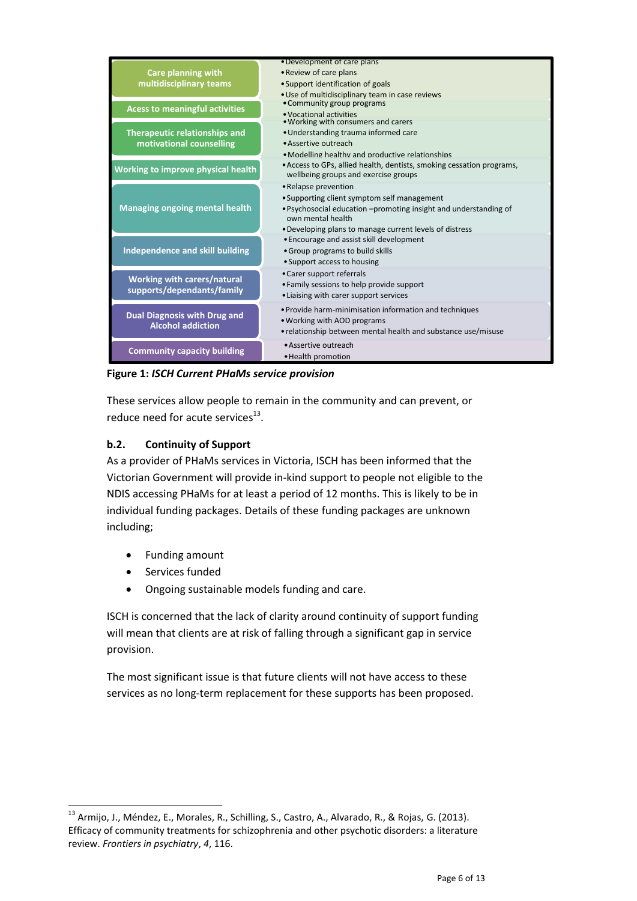

**Figure 1:** *ISCH Current PHaMs service provision*

These services allow people to remain in the community and can prevent, or reduce need for acute services $^{13}$ .

#### **b.2. Continuity of Support**

As a provider of PHaMs services in Victoria, ISCH has been informed that the Victorian Government will provide in-kind support to people not eligible to the NDIS accessing PHaMs for at least a period of 12 months. This is likely to be in individual funding packages. Details of these funding packages are unknown including;

- Funding amount
- Services funded

 $\overline{\phantom{a}}$ 

Ongoing sustainable models funding and care.

ISCH is concerned that the lack of clarity around continuity of support funding will mean that clients are at risk of falling through a significant gap in service provision.

The most significant issue is that future clients will not have access to these services as no long-term replacement for these supports has been proposed.

<sup>&</sup>lt;sup>13</sup> Armijo, J., Méndez, E., Morales, R., Schilling, S., Castro, A., Alvarado, R., & Rojas, G. (2013). Efficacy of community treatments for schizophrenia and other psychotic disorders: a literature review. *Frontiers in psychiatry*, *4*, 116.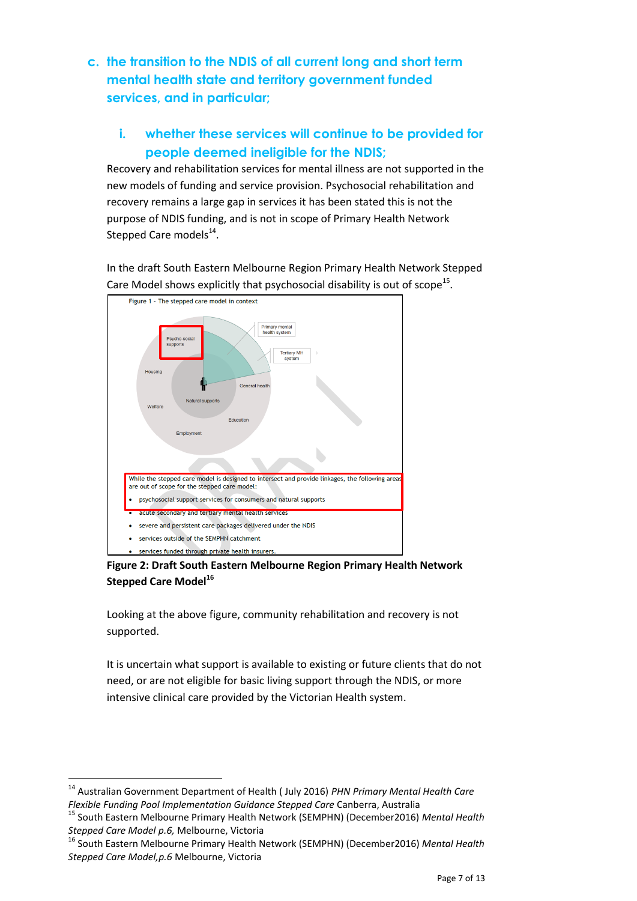**c. the transition to the NDIS of all current long and short term mental health state and territory government funded services, and in particular;** 

### **i. whether these services will continue to be provided for people deemed ineligible for the NDIS;**

Recovery and rehabilitation services for mental illness are not supported in the new models of funding and service provision. Psychosocial rehabilitation and recovery remains a large gap in services it has been stated this is not the purpose of NDIS funding, and is not in scope of Primary Health Network Stepped Care models<sup>14</sup>.

In the draft South Eastern Melbourne Region Primary Health Network Stepped Care Model shows explicitly that psychosocial disability is out of scope<sup>15</sup>.



**Figure 2: Draft South Eastern Melbourne Region Primary Health Network Stepped Care Model<sup>16</sup>**

Looking at the above figure, community rehabilitation and recovery is not supported.

It is uncertain what support is available to existing or future clients that do not need, or are not eligible for basic living support through the NDIS, or more intensive clinical care provided by the Victorian Health system.

l

<sup>14</sup> Australian Government Department of Health ( July 2016) *PHN Primary Mental Health Care Flexible Funding Pool Implementation Guidance Stepped Care* Canberra, Australia

<sup>15</sup> South Eastern Melbourne Primary Health Network (SEMPHN) (December2016) *Mental Health Stepped Care Model p.6,* Melbourne, Victoria

<sup>16</sup> South Eastern Melbourne Primary Health Network (SEMPHN) (December2016) *Mental Health Stepped Care Model,p.6* Melbourne, Victoria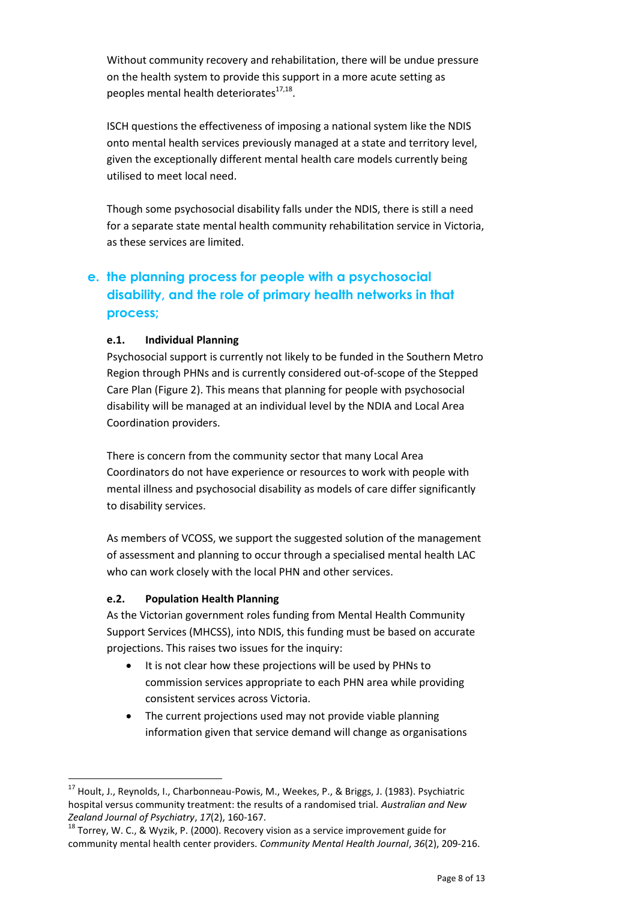Without community recovery and rehabilitation, there will be undue pressure on the health system to provide this support in a more acute setting as peoples mental health deteriorates<sup>17,18</sup>.

ISCH questions the effectiveness of imposing a national system like the NDIS onto mental health services previously managed at a state and territory level, given the exceptionally different mental health care models currently being utilised to meet local need.

Though some psychosocial disability falls under the NDIS, there is still a need for a separate state mental health community rehabilitation service in Victoria, as these services are limited.

# **e. the planning process for people with a psychosocial disability, and the role of primary health networks in that process;**

#### **e.1. Individual Planning**

Psychosocial support is currently not likely to be funded in the Southern Metro Region through PHNs and is currently considered out-of-scope of the Stepped Care Plan (Figure 2). This means that planning for people with psychosocial disability will be managed at an individual level by the NDIA and Local Area Coordination providers.

There is concern from the community sector that many Local Area Coordinators do not have experience or resources to work with people with mental illness and psychosocial disability as models of care differ significantly to disability services.

As members of VCOSS, we support the suggested solution of the management of assessment and planning to occur through a specialised mental health LAC who can work closely with the local PHN and other services.

#### **e.2. Population Health Planning**

l

As the Victorian government roles funding from Mental Health Community Support Services (MHCSS), into NDIS, this funding must be based on accurate projections. This raises two issues for the inquiry:

- It is not clear how these projections will be used by PHNs to commission services appropriate to each PHN area while providing consistent services across Victoria.
- The current projections used may not provide viable planning information given that service demand will change as organisations

<sup>&</sup>lt;sup>17</sup> Hoult, J., Reynolds, I., Charbonneau-Powis, M., Weekes, P., & Briggs, J. (1983). Psychiatric hospital versus community treatment: the results of a randomised trial. *Australian and New Zealand Journal of Psychiatry*, *17*(2), 160-167.

 $18$  Torrey, W. C., & Wyzik, P. (2000). Recovery vision as a service improvement guide for community mental health center providers. *Community Mental Health Journal*, *36*(2), 209-216.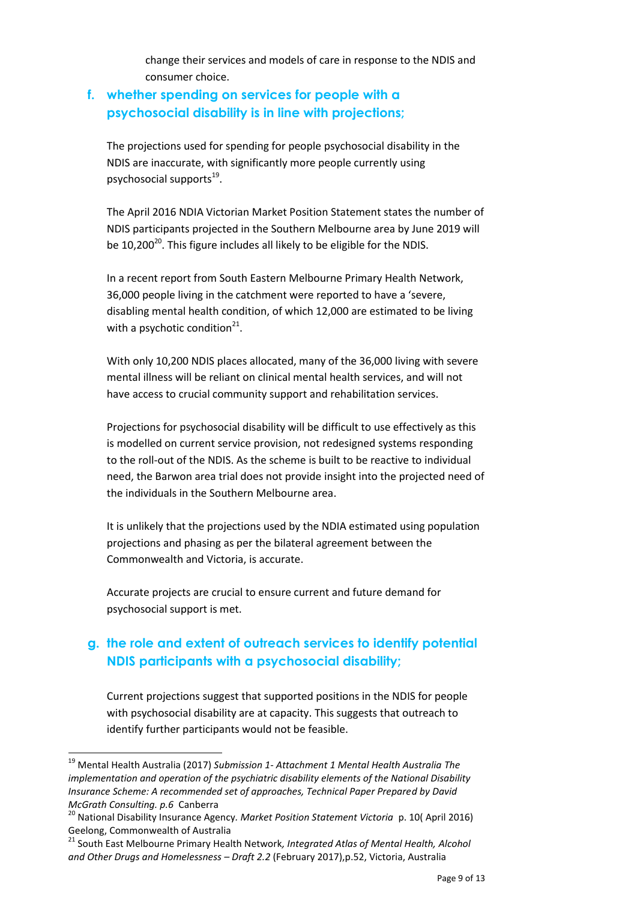change their services and models of care in response to the NDIS and consumer choice.

#### **f. whether spending on services for people with a psychosocial disability is in line with projections;**

The projections used for spending for people psychosocial disability in the NDIS are inaccurate, with significantly more people currently using psychosocial supports<sup>19</sup>.

The April 2016 NDIA Victorian Market Position Statement states the number of NDIS participants projected in the Southern Melbourne area by June 2019 will be 10,200<sup>20</sup>. This figure includes all likely to be eligible for the NDIS.

In a recent report from South Eastern Melbourne Primary Health Network, 36,000 people living in the catchment were reported to have a 'severe, disabling mental health condition, of which 12,000 are estimated to be living with a psychotic condition<sup>21</sup>.

With only 10,200 NDIS places allocated, many of the 36,000 living with severe mental illness will be reliant on clinical mental health services, and will not have access to crucial community support and rehabilitation services.

Projections for psychosocial disability will be difficult to use effectively as this is modelled on current service provision, not redesigned systems responding to the roll-out of the NDIS. As the scheme is built to be reactive to individual need, the Barwon area trial does not provide insight into the projected need of the individuals in the Southern Melbourne area.

It is unlikely that the projections used by the NDIA estimated using population projections and phasing as per the bilateral agreement between the Commonwealth and Victoria, is accurate.

Accurate projects are crucial to ensure current and future demand for psychosocial support is met.

# **g. the role and extent of outreach services to identify potential NDIS participants with a psychosocial disability;**

Current projections suggest that supported positions in the NDIS for people with psychosocial disability are at capacity. This suggests that outreach to identify further participants would not be feasible.

l

<sup>19</sup> Mental Health Australia (2017) *Submission 1- Attachment 1 Mental Health Australia The implementation and operation of the psychiatric disability elements of the National Disability Insurance Scheme: A recommended set of approaches, Technical Paper Prepared by David McGrath Consulting. p.6* Canberra

<sup>20</sup> National Disability Insurance Agency*. Market Position Statement Victoria* p. 10( April 2016) Geelong, Commonwealth of Australia

<sup>21</sup> South East Melbourne Primary Health Network*, Integrated Atlas of Mental Health, Alcohol and Other Drugs and Homelessness – Draft 2.2* (February 2017),p.52, Victoria, Australia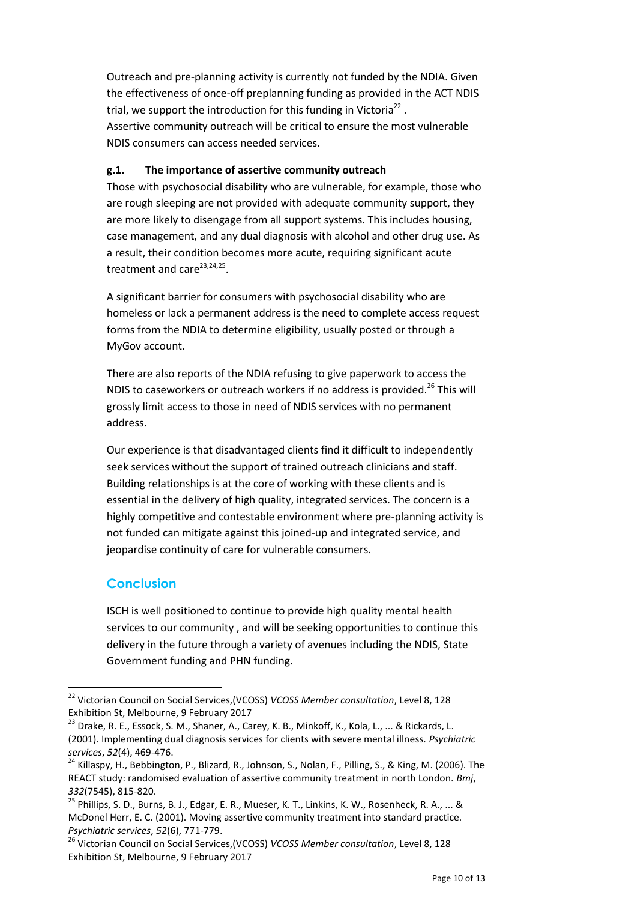Outreach and pre-planning activity is currently not funded by the NDIA. Given the effectiveness of once-off preplanning funding as provided in the ACT NDIS trial, we support the introduction for this funding in Victoria<sup>22</sup>. Assertive community outreach will be critical to ensure the most vulnerable NDIS consumers can access needed services.

#### **g.1. The importance of assertive community outreach**

Those with psychosocial disability who are vulnerable, for example, those who are rough sleeping are not provided with adequate community support, they are more likely to disengage from all support systems. This includes housing, case management, and any dual diagnosis with alcohol and other drug use. As a result, their condition becomes more acute, requiring significant acute treatment and care<sup>23,24,25</sup>.

A significant barrier for consumers with psychosocial disability who are homeless or lack a permanent address is the need to complete access request forms from the NDIA to determine eligibility, usually posted or through a MyGov account.

There are also reports of the NDIA refusing to give paperwork to access the NDIS to caseworkers or outreach workers if no address is provided.<sup>26</sup> This will grossly limit access to those in need of NDIS services with no permanent address.

Our experience is that disadvantaged clients find it difficult to independently seek services without the support of trained outreach clinicians and staff. Building relationships is at the core of working with these clients and is essential in the delivery of high quality, integrated services. The concern is a highly competitive and contestable environment where pre-planning activity is not funded can mitigate against this joined-up and integrated service, and jeopardise continuity of care for vulnerable consumers.

#### **Conclusion**

 $\overline{a}$ 

ISCH is well positioned to continue to provide high quality mental health services to our community , and will be seeking opportunities to continue this delivery in the future through a variety of avenues including the NDIS, State Government funding and PHN funding.

<sup>22</sup> Victorian Council on Social Services,(VCOSS) *VCOSS Member consultation*, Level 8, 128 Exhibition St, Melbourne, 9 February 2017

 $^{23}$  Drake, R. E., Essock, S. M., Shaner, A., Carey, K. B., Minkoff, K., Kola, L., ... & Rickards, L. (2001). Implementing dual diagnosis services for clients with severe mental illness. *Psychiatric services*, *52*(4), 469-476.

<sup>&</sup>lt;sup>24</sup> Killaspy, H., Bebbington, P., Blizard, R., Johnson, S., Nolan, F., Pilling, S., & King, M. (2006). The REACT study: randomised evaluation of assertive community treatment in north London. *Bmj*, *332*(7545), 815-820.

<sup>&</sup>lt;sup>25</sup> Phillips, S. D., Burns, B. J., Edgar, E. R., Mueser, K. T., Linkins, K. W., Rosenheck, R. A., ... & McDonel Herr, E. C. (2001). Moving assertive community treatment into standard practice. *Psychiatric services*, *52*(6), 771-779.

<sup>26</sup> Victorian Council on Social Services,(VCOSS) *VCOSS Member consultation*, Level 8, 128 Exhibition St, Melbourne, 9 February 2017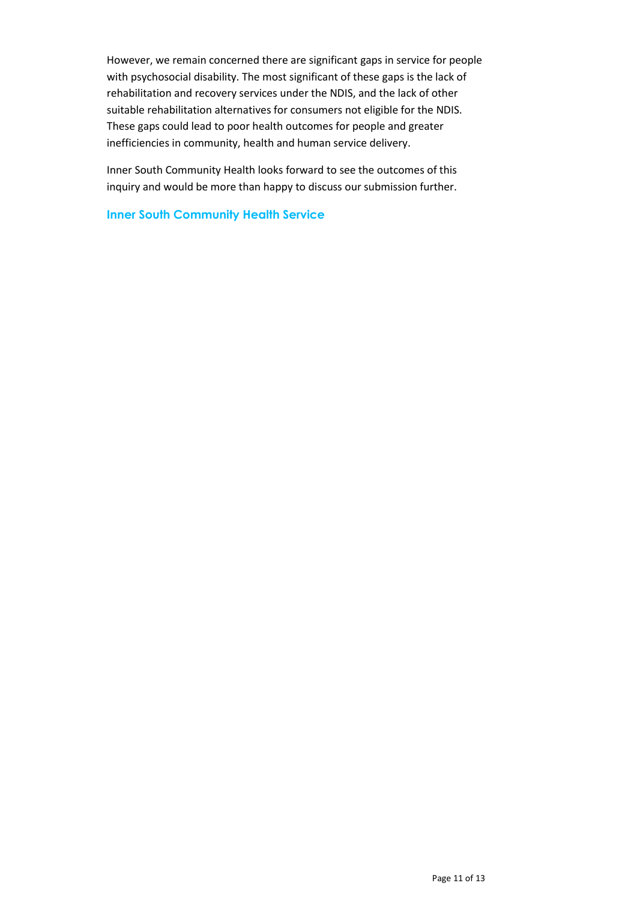However, we remain concerned there are significant gaps in service for people with psychosocial disability. The most significant of these gaps is the lack of rehabilitation and recovery services under the NDIS, and the lack of other suitable rehabilitation alternatives for consumers not eligible for the NDIS. These gaps could lead to poor health outcomes for people and greater inefficiencies in community, health and human service delivery.

Inner South Community Health looks forward to see the outcomes of this inquiry and would be more than happy to discuss our submission further.

**Inner South Community Health Service**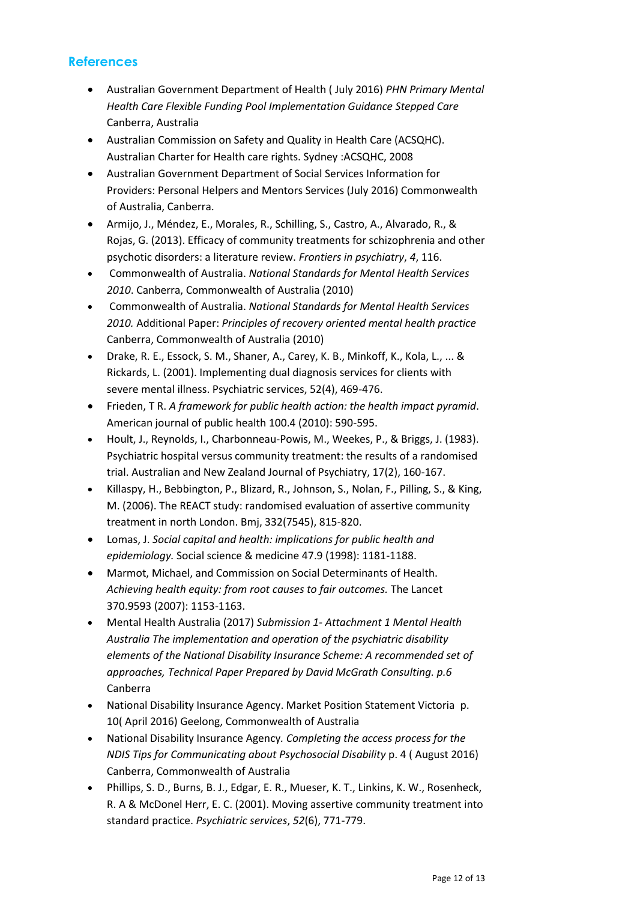#### **References**

- Australian Government Department of Health ( July 2016) *PHN Primary Mental Health Care Flexible Funding Pool Implementation Guidance Stepped Care*  Canberra, Australia
- Australian Commission on Safety and Quality in Health Care (ACSQHC). Australian Charter for Health care rights. Sydney :ACSQHC, 2008
- Australian Government Department of Social Services Information for Providers: Personal Helpers and Mentors Services (July 2016) Commonwealth of Australia, Canberra.
- Armijo, J., Méndez, E., Morales, R., Schilling, S., Castro, A., Alvarado, R., & Rojas, G. (2013). Efficacy of community treatments for schizophrenia and other psychotic disorders: a literature review. *Frontiers in psychiatry*, *4*, 116.
- Commonwealth of Australia. *National Standards for Mental Health Services 2010*. Canberra, Commonwealth of Australia (2010)
- Commonwealth of Australia. *National Standards for Mental Health Services 2010.* Additional Paper: *Principles of recovery oriented mental health practice*  Canberra, Commonwealth of Australia (2010)
- Drake, R. E., Essock, S. M., Shaner, A., Carey, K. B., Minkoff, K., Kola, L., ... & Rickards, L. (2001). Implementing dual diagnosis services for clients with severe mental illness. Psychiatric services, 52(4), 469-476.
- Frieden, T R. *A framework for public health action: the health impact pyramid*. American journal of public health 100.4 (2010): 590-595.
- Hoult, J., Reynolds, I., Charbonneau-Powis, M., Weekes, P., & Briggs, J. (1983). Psychiatric hospital versus community treatment: the results of a randomised trial. Australian and New Zealand Journal of Psychiatry, 17(2), 160-167.
- Killaspy, H., Bebbington, P., Blizard, R., Johnson, S., Nolan, F., Pilling, S., & King, M. (2006). The REACT study: randomised evaluation of assertive community treatment in north London. Bmj, 332(7545), 815-820.
- Lomas, J. *Social capital and health: implications for public health and epidemiology.* Social science & medicine 47.9 (1998): 1181-1188.
- Marmot, Michael, and Commission on Social Determinants of Health. *Achieving health equity: from root causes to fair outcomes.* The Lancet 370.9593 (2007): 1153-1163.
- Mental Health Australia (2017) *Submission 1- Attachment 1 Mental Health Australia The implementation and operation of the psychiatric disability elements of the National Disability Insurance Scheme: A recommended set of approaches, Technical Paper Prepared by David McGrath Consulting. p.6*  Canberra
- National Disability Insurance Agency. Market Position Statement Victoria p. 10( April 2016) Geelong, Commonwealth of Australia
- National Disability Insurance Agency*. Completing the access process for the NDIS Tips for Communicating about Psychosocial Disability* p. 4 ( August 2016) Canberra, Commonwealth of Australia
- Phillips, S. D., Burns, B. J., Edgar, E. R., Mueser, K. T., Linkins, K. W., Rosenheck, R. A & McDonel Herr, E. C. (2001). Moving assertive community treatment into standard practice. *Psychiatric services*, *52*(6), 771-779.